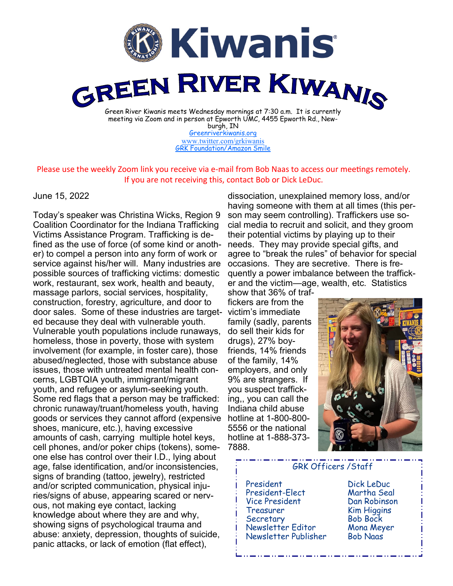

burgh, IN [Greenriverkiwanis.org](http://greenriverkiwanis.org/default.aspx) [www.twitter.com/grkiwanis](http://www.twitter.com/grkiwanis) [GRK Foundation/Amazon Smile](https://smile.amazon.com/ch/81-0946403)

Please use the weekly Zoom link you receive via e-mail from Bob Naas to access our meetings remotely. If you are not receiving this, contact Bob or Dick LeDuc.

## June 15, 2022

Today's speaker was Christina Wicks, Region 9 Coalition Coordinator for the Indiana Trafficking Victims Assistance Program. Trafficking is defined as the use of force (of some kind or another) to compel a person into any form of work or service against his/her will. Many industries are possible sources of trafficking victims: domestic work, restaurant, sex work, health and beauty, massage parlors, social services, hospitality, construction, forestry, agriculture, and door to door sales. Some of these industries are target-victim's immediate ed because they deal with vulnerable youth. Vulnerable youth populations include runaways, homeless, those in poverty, those with system involvement (for example, in foster care), those abused/neglected, those with substance abuse issues, those with untreated mental health concerns, LGBTQIA youth, immigrant/migrant youth, and refugee or asylum-seeking youth. Some red flags that a person may be trafficked: chronic runaway/truant/homeless youth, having goods or services they cannot afford (expensive shoes, manicure, etc.), having excessive amounts of cash, carrying multiple hotel keys, cell phones, and/or poker chips (tokens), someone else has control over their I.D., lying about age, false identification, and/or inconsistencies, signs of branding (tattoo, jewelry), restricted and/or scripted communication, physical injuries/signs of abuse, appearing scared or nervous, not making eye contact, lacking knowledge about where they are and why, showing signs of psychological trauma and abuse: anxiety, depression, thoughts of suicide, panic attacks, or lack of emotion (flat effect),

dissociation, unexplained memory loss, and/or having someone with them at all times (this person may seem controlling). Traffickers use social media to recruit and solicit, and they groom their potential victims by playing up to their needs. They may provide special gifts, and agree to "break the rules" of behavior for special occasions. They are secretive. There is frequently a power imbalance between the trafficker and the victim—age, wealth, etc. Statistics

show that 36% of traffickers are from the family (sadly, parents do sell their kids for drugs), 27% boyfriends, 14% friends of the family, 14% employers, and only 9% are strangers. If you suspect trafficking,, you can call the Indiana child abuse hotline at 1-800-800- 5556 or the national hotline at 1-888-373- 7888.



GRK Officers /Staff

 President Dick LeDuc President-Elect Vice President Dan Robinson Treasurer Kim Higgins Secretary Bob Bock Newsletter Editor Mona Meyer Newsletter Publisher Bob Naas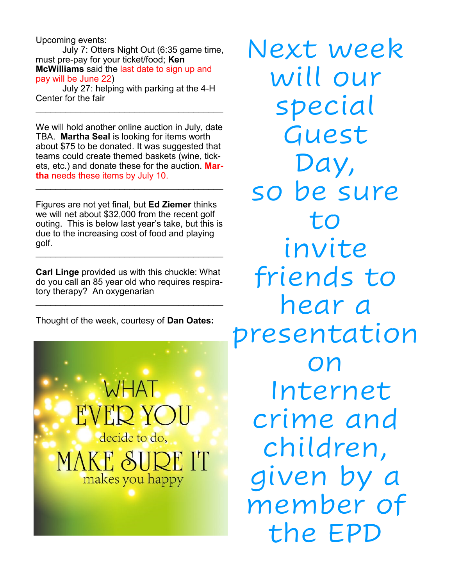Upcoming events:

July 7: Otters Night Out (6:35 game time, must pre-pay for your ticket/food; **Ken McWilliams** said the last date to sign up and pay will be June 22)

July 27: helping with parking at the 4-H Center for the fair

 $\mathcal{L}_\text{max}$  , and the set of the set of the set of the set of the set of the set of the set of the set of the set of the set of the set of the set of the set of the set of the set of the set of the set of the set of the

We will hold another online auction in July, date TBA. **Martha Seal** is looking for items worth about \$75 to be donated. It was suggested that teams could create themed baskets (wine, tickets, etc.) and donate these for the auction. **Martha** needs these items by July 10.

\_\_\_\_\_\_\_\_\_\_\_\_\_\_\_\_\_\_\_\_\_\_\_\_\_\_\_\_\_\_\_\_\_\_\_\_\_\_

Figures are not yet final, but **Ed Ziemer** thinks we will net about \$32,000 from the recent golf outing. This is below last year's take, but this is due to the increasing cost of food and playing golf. \_\_\_\_\_\_\_\_\_\_\_\_\_\_\_\_\_\_\_\_\_\_\_\_\_\_\_\_\_\_\_\_\_\_\_\_\_\_

**Carl Linge** provided us with this chuckle: What do you call an 85 year old who requires respiratory therapy? An oxygenarian

\_\_\_\_\_\_\_\_\_\_\_\_\_\_\_\_\_\_\_\_\_\_\_\_\_\_\_\_\_\_\_\_\_\_\_\_\_\_

Thought of the week, courtesy of **Dan Oates:**



Next week will our special Guest Day, so be sure to invite friends to hear a presentation on Internet crime and children, given by a member of the EPD